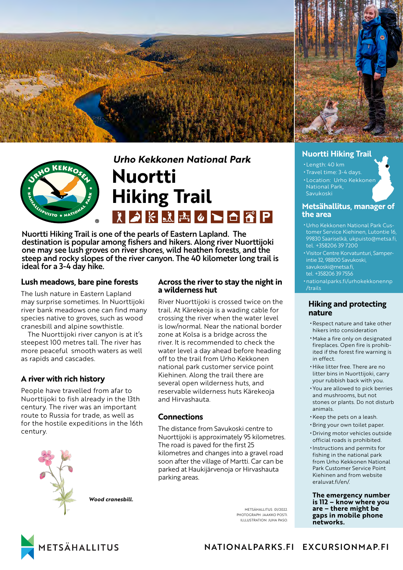



# *Urho Kekkonen National Park* **Nuortti Hiking Trail** <u>えつドメ西△下白雷P</u>

Nuortti Hiking Trail is one of the pearls of Eastern Lapland. The destination is popular among fishers and hikers. Along river Nuorttijoki one may see lush groves on river shores, wild heathen forests, and the steep and rocky slopes of the river canyon. The 40 kilometer long trail is ideal for a 3-4 day hike.

## **Lush meadows, bare pine forests**

The lush nature in Eastern Lapland may surprise sometimes. In Nuorttijoki river bank meadows one can find many species native to groves, such as wood cranesbill and alpine sowthistle.

The Nuorttijoki river canyon is at it's steepest 100 metres tall. The river has more peaceful smooth waters as well as rapids and cascades.

# **A river with rich history**

People have travelled from afar to Nuorttijoki to fish already in the 13th century. The river was an important route to Russia for trade, as well as for the hostile expeditions in the 16th century.



*Wood cranesbill.*

### **Across the river to stay the night in a wilderness hut**

River Nuorttijoki is crossed twice on the trail. At Kärekeoja is a wading cable for crossing the river when the water level is low/normal. Near the national border zone at Kolsa is a bridge across the river. It is recommended to check the water level a day ahead before heading off to the trail from Urho Kekkonen national park customer service point Kiehinen. Along the trail there are several open wilderness huts, and reservable wilderness huts Kärekeoja and Hirvashauta.

## **Connections**

The distance from Savukoski centre to Nuorttijoki is approximately 95 kilometres. The road is paved for the first 25 kilometres and changes into a gravel road soon after the village of Martti. Car can be parked at Haukijärvenoja or Hirvashauta parking areas.

> METSÄHALLITUS 01/2022 PHOTOGRAPH: JAAKKO POSTI. ILLLUSTRATION: JUHA PASO.

#### **Nuortti Hiking Trail**

- Length: 40 km
- Travel time: 3-4 days.
- Location: Urho Kekkonen National Park, Savukoski

#### **Metsähallitus, manager of the area**

- Urho Kekkonen National Park Customer Service Kiehinen, Lutontie 16, 99830 Saariselkä, ukpuisto@metsa.fi, tel. +358206 39 7200
- •Visitor Centre Korvatunturi, Samperintie 32, 98800 Savukoski, savukoski@metsa.fi, tel. +358206 39 7556
- [nationalparks.fi/urhokekkonennp](https://nationalparks.fi/urhokekkonennp/trails) [/trails](https://nationalparks.fi/urhokekkonennp/trails)

## **Hiking and protecting nature**

- •Respect nature and take other hikers into consideration
- Make a fire only on designated fireplaces. Open fire is prohibited if the forest fire warning is in effect.
- Hike litter free. There are no litter bins in Nuorttijoki, carry your rubbish back with you.
- You are allowed to pick berries and mushrooms, but not stones or plants. Do not disturb animals.
- •Keep the pets on a leash.
- •Bring your own toilet paper. • Driving motor vehicles outside official roads is prohibited.
- Instructions and permits for fishing in the national park from Urho Kekkonen National Park Customer Service Point Kiehinen and from website [eraluvat.fi/en/.](https://eraluvat.fi/en/)

**The emergency number is 112 – know where you are – there might be gaps in mobile phone networks.**